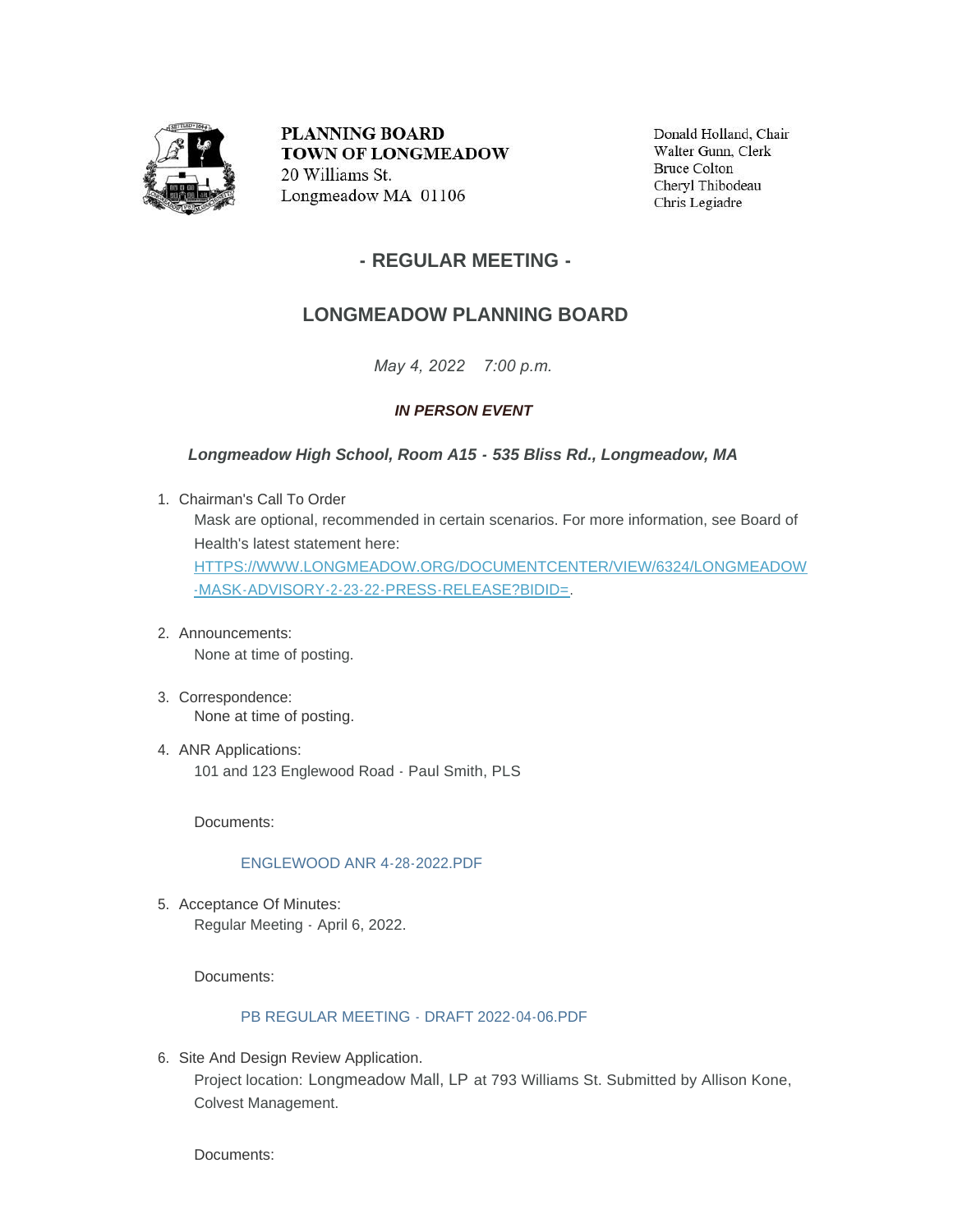

PLANNING BOARD **TOWN OF LONGMEADOW** 20 Williams St. Longmeadow MA 01106

Donald Holland, Chair Walter Gunn, Clerk **Bruce Colton** Cheryl Thibodeau Chris Legiadre

## **- REGULAR MEETING -**

# **LONGMEADOW PLANNING BOARD**

*May 4, 2022 7:00 p.m.*

### *IN PERSON EVENT*

*Longmeadow High School, Room A15 - 535 Bliss Rd., Longmeadow, MA*

- Chairman's Call To Order 1. Mask are optional, recommended in certain scenarios. For more information, see Board of Health's latest statement here: [HTTPS://WWW.LONGMEADOW.ORG/DOCUMENTCENTER/VIEW/6324/LONGMEADOW](https://www.longmeadow.org/DocumentCenter/View/6324/Longmeadow-Mask-Advisory-2-23-22-Press-Release?bidId=) -MASK-ADVISORY-2-23-22-PRESS-RELEASE?BIDID=.
- Announcements: 2. None at time of posting.
- Correspondence: 3. None at time of posting.
- 4. ANR Applications: 101 and 123 Englewood Road - Paul Smith, PLS

Documents:

[ENGLEWOOD ANR 4-28-2022.PDF](https://www.longmeadow.org/AgendaCenter/ViewFile/Item/2301?fileID=22657)

5. Acceptance Of Minutes: Regular Meeting - April 6, 2022.

Documents:

### [PB REGULAR MEETING - DRAFT 2022-04-06.PDF](https://www.longmeadow.org/AgendaCenter/ViewFile/Item/2302?fileID=22658)

6. Site And Design Review Application.

Project location: Longmeadow Mall, LP at 793 Williams St. Submitted by Allison Kone, Colvest Management.

Documents: